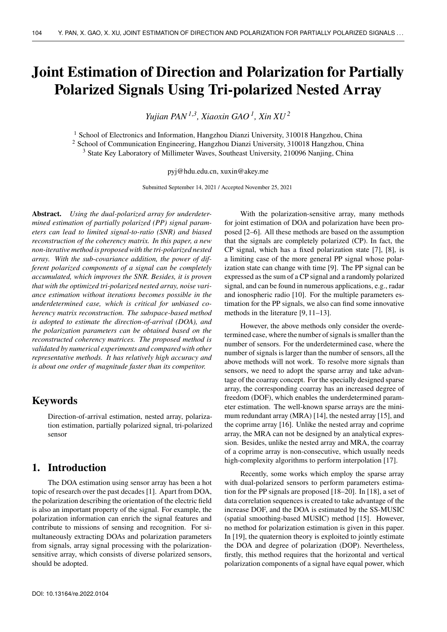# **Joint Estimation of Direction and Polarization for Partially Polarized Signals Using Tri-polarized Nested Array**

*Yujian PAN1*,*<sup>3</sup> , Xiaoxin GAO <sup>1</sup> , Xin XU <sup>2</sup>*

<sup>1</sup> School of Electronics and Information, Hangzhou Dianzi University, 310018 Hangzhou, China <sup>2</sup> School of Communication Engineering, Hangzhou Dianzi University, 310018 Hangzhou, China <sup>3</sup> State Key Laboratory of Millimeter Waves, Southeast University, 210096 Nanjing, China

pyj@hdu.edu.cn, xuxin@akey.me

Submitted September 14, 2021 / Accepted November 25, 2021

**Abstract.** *Using the dual-polarized array for underdetermined estimation of partially polarized (PP) signal parameters can lead to limited signal-to-ratio (SNR) and biased reconstruction of the coherency matrix. In this paper, a new non-iterative method is proposed with the tri-polarized nested array. With the sub-covariance addition, the power of different polarized components of a signal can be completely accumulated, which improves the SNR. Besides, it is proven that with the optimized tri-polarized nested array, noise variance estimation without iterations becomes possible in the underdetermined case, which is critical for unbiased coherency matrix reconstruction. The subspace-based method is adopted to estimate the direction-of-arrival (DOA), and the polarization parameters can be obtained based on the reconstructed coherency matrices. The proposed method is validated by numerical experiments and compared with other representative methods. It has relatively high accuracy and is about one order of magnitude faster than its competitor.*

# **Keywords**

Direction-of-arrival estimation, nested array, polarization estimation, partially polarized signal, tri-polarized sensor

## **1. Introduction**

The DOA estimation using sensor array has been a hot topic of research over the past decades [1]. Apart from DOA, the polarization describing the orientation of the electric field is also an important property of the signal. For example, the polarization information can enrich the signal features and contribute to missions of sensing and recognition. For simultaneously extracting DOAs and polarization parameters from signals, array signal processing with the polarizationsensitive array, which consists of diverse polarized sensors, should be adopted.

With the polarization-sensitive array, many methods for joint estimation of DOA and polarization have been proposed [2–6]. All these methods are based on the assumption that the signals are completely polarized (CP). In fact, the CP signal, which has a fixed polarization state [7], [8], is a limiting case of the more general PP signal whose polarization state can change with time [9]. The PP signal can be expressed as the sum of a CP signal and a randomly polarized signal, and can be found in numerous applications, e.g., radar and ionospheric radio [10]. For the multiple parameters estimation for the PP signals, we also can find some innovative methods in the literature [9, 11–13].

However, the above methods only consider the overdetermined case, where the number of signals is smaller than the number of sensors. For the underdetermined case, where the number of signals is larger than the number of sensors, all the above methods will not work. To resolve more signals than sensors, we need to adopt the sparse array and take advantage of the coarray concept. For the specially designed sparse array, the corresponding coarray has an increased degree of freedom (DOF), which enables the underdetermined parameter estimation. The well-known sparse arrays are the minimum redundant array (MRA) [14], the nested array [15], and the coprime array [16]. Unlike the nested array and coprime array, the MRA can not be designed by an analytical expression. Besides, unlike the nested array and MRA, the coarray of a coprime array is non-consecutive, which usually needs high-complexity algorithms to perform interpolation [17].

Recently, some works which employ the sparse array with dual-polarized sensors to perform parameters estimation for the PP signals are proposed [18–20]. In [18], a set of data correlation sequences is created to take advantage of the increase DOF, and the DOA is estimated by the SS-MUSIC (spatial smoothing-based MUSIC) method [15]. However, no method for polarization estimation is given in this paper. In [19], the quaternion theory is exploited to jointly estimate the DOA and degree of polarization (DOP). Nevertheless, firstly, this method requires that the horizontal and vertical polarization components of a signal have equal power, which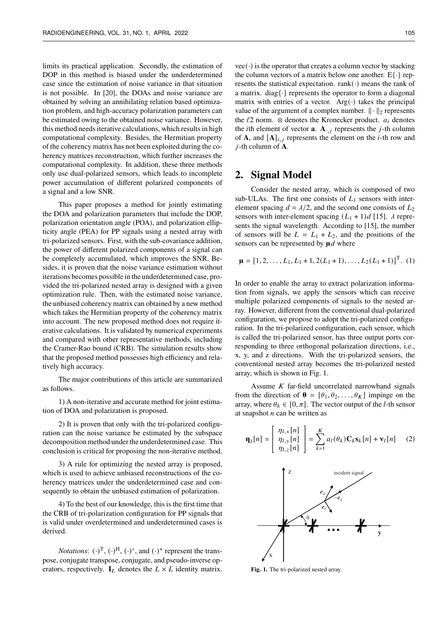limits its practical application. Secondly, the estimation of DOP in this method is biased under the underdetermined case since the estimation of noise variance in that situation is not possible. In [20], the DOAs and noise variance are obtained by solving an annihilating relation based optimization problem, and high-accuracy polarization parameters can be estimated owing to the obtained noise variance. However, this method needs iterative calculations, which results in high computational complexity. Besides, the Hermitian property of the coherency matrix has not been exploited during the coherency matrices reconstruction, which further increases the computational complexity. In addition, these three methods only use dual-polarized sensors, which leads to incomplete power accumulation of different polarized components of a signal and a low SNR.

This paper proposes a method for jointly estimating the DOA and polarization parameters that include the DOP, polarization orientation angle (POA), and polarization ellipticity angle (PEA) for PP signals using a nested array with tri-polarized sensors. First, with the sub-covariance addition, the power of different polarized components of a signal can be completely accumulated, which improves the SNR. Besides, it is proven that the noise variance estimation without iterations becomes possible in the underdetermined case, provided the tri-polarized nested array is designed with a given optimization rule. Then, with the estimated noise variance, the unbiased coherency matrix can obtained by a new method which takes the Hermitian property of the coherency matrix into account. The new proposed method does not require iterative calculations. It is validated by numerical experiments and compared with other representative methods, including the Cramer-Rao bound (CRB). The simulation results show that the proposed method possesses high efficiency and relatively high accuracy.

The major contributions of this article are summarized as follows.

1) A non-iterative and accurate method for joint estimation of DOA and polarization is proposed.

2) It is proven that only with the tri-polarized configuration can the noise variance be estimated by the subspace decomposition method under the underdetermined case. This conclusion is critical for proposing the non-iterative method.

3) A rule for optimizing the nested array is proposed, which is used to achieve unbiased reconstructions of the coherency matrices under the underdetermined case and consequently to obtain the unbiased estimation of polarization.

4) To the best of our knowledge, this is the first time that the CRB of tri-polarization configuration for PP signals that is valid under overdetermined and underdetermined cases is derived.

*Notations*:  $(\cdot)^T$ ,  $(\cdot)^H$ ,  $(\cdot)^*$ , and  $(\cdot)^+$  represent the transpose, conjugate transpose, conjugate, and pseudo-inverse operators, respectively.  $I_L$  denotes the  $L \times L$  identity matrix.

 $vec(\cdot)$  is the operator that creates a column vector by stacking the column vectors of a matrix below one another.  $E\{\cdot\}$  represents the statistical expectation. rank( $\cdot$ ) means the rank of a matrix. diag{ $\cdot$ } represents the operator to form a diagonal matrix with entries of a vector.  $Arg(\cdot)$  takes the principal value of the argument of a complex number.  $\|\cdot\|_2$  represents the  $\ell$ 2 norm. ⊗ denotes the Kronecker product.  $a_i$  denotes the *i*th element of vector **a**. **A**<sub>·, *i*</sub> represents the *j*-th column of **A**, and  $[A]_{i,j}$  represents the element on the *i*-th row and -th column of **A**.

## **2. Signal Model**

Consider the nested array, which is composed of two sub-ULAs. The first one consists of  $L_1$  sensors with interelement spacing  $d = \lambda/2$ , and the second one consists of  $L_2$ sensors with inter-element spacing  $(L_1 + 1)d$  [15].  $\lambda$  represents the signal wavelength. According to [15], the number of sensors will be  $L = L_1 + L_2$ , and the positions of the sensors can be represented by  $\mu d$  where

$$
\mathbf{\mu} = [1, 2, \dots, L_1, L_1 + 1, 2(L_1 + 1), \dots, L_2(L_1 + 1)]^{\mathrm{T}}.
$$
 (1)

In order to enable the array to extract polarization information from signals, we apply the sensors which can receive multiple polarized components of signals to the nested array. However, different from the conventional dual-polarized configuration, we propose to adopt the tri-polarized configuration. In the tri-polarized configuration, each sensor, which is called the tri-polarized sensor, has three output ports corresponding to three orthogonal polarization directions, i.e., x, y, and z directions. With the tri-polarized sensors, the conventional nested array becomes the tri-polarized nested array, which is shown in Fig. 1.

Assume  $K$  far-field uncorrelated narrowband signals from the direction of  $\mathbf{\theta} = [\theta_1, \theta_2, \dots, \theta_K]$  impinge on the array, where  $\theta_k \in [0, \pi]$ . The vector output of the *l*-th sensor at snapshot  $n$  can be written as

$$
\mathbf{\eta}_l[n] = \begin{bmatrix} \eta_{l,x}[n] \\ \eta_{l,y}[n] \\ \eta_{l,z}[n] \end{bmatrix} = \sum_{k=1}^K a_l(\theta_k) \mathbf{C}_k \mathbf{s}_k[n] + \mathbf{v}_l[n] \tag{2}
$$



**Fig. 1.** The tri-polarized nested array.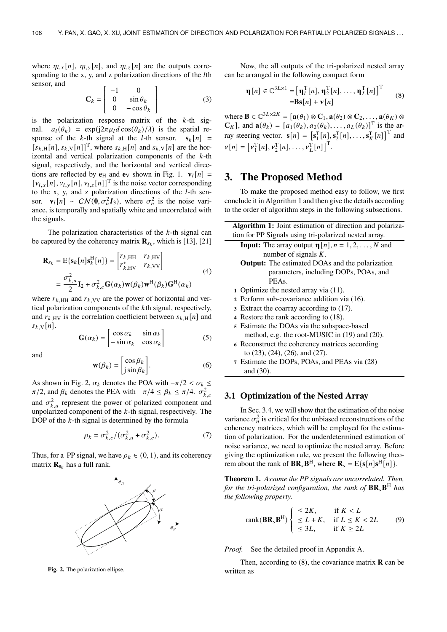where  $\eta_{l,x}[n]$ ,  $\eta_{l,y}[n]$ , and  $\eta_{l,z}[n]$  are the outputs corresponding to the  $x$ ,  $y$ , and  $z$  polarization directions of the  $l$ th sensor, and

$$
\mathbf{C}_k = \left[ \begin{array}{cc} -1 & 0 \\ 0 & \sin \theta_k \\ 0 & -\cos \theta_k \end{array} \right] \tag{3}
$$

is the polarization response matrix of the  $k$ -th signal.  $a_l(\theta_k) = \exp(i2\pi\mu_l d \cos(\theta_k)/\lambda)$  is the spatial response of the k-th signal at the l-th sensor.  $s_k[n]$  =  $[s_{k,H}[n], s_{k,V}[n]]^T$ , where  $s_{k,H}[n]$  and  $s_{k,V}[n]$  are the horizontal and vertical polarization components of the  $k$ -th signal, respectively, and the horizontal and vertical directions are reflected by  $e_H$  and  $e_V$  shown in Fig. 1.  $v_l[n] =$  $[\nu_{l,x}[n], \nu_{l,y}[n], \nu_{l,z}[n]]^{\text{T}}$  is the noise vector corresponding to the x, y, and z polarization directions of the  $l$ -th sensor.  $\mathbf{v}_l[n] \sim \mathcal{CN}(\mathbf{0}, \sigma_n^2 \mathbf{I}_3)$ , where  $\sigma_n^2$  is the noise variance, is temporally and spatially white and uncorrelated with the signals.

The polarization characteristics of the  $k$ -th signal can be captured by the coherency matrix  $\mathbf{R}_{s_k}$ , which is [13], [21]

$$
\mathbf{R}_{s_k} = \mathbf{E}\{\mathbf{s}_k[n]\mathbf{s}_k^{\mathrm{H}}[n]\} = \begin{bmatrix} r_{k,\mathrm{HH}} & r_{k,\mathrm{HV}} \\ r_{k,\mathrm{HV}}^* & r_{k,\mathrm{VV}} \end{bmatrix}
$$
\n
$$
= \frac{\sigma_{k,u}^2}{2} \mathbf{I}_2 + \sigma_{k,c}^2 \mathbf{G}(\alpha_k) \mathbf{w}(\beta_k) \mathbf{w}^{\mathrm{H}}(\beta_k) \mathbf{G}^{\mathrm{H}}(\alpha_k)
$$
\n(4)

where  $r_{k,HH}$  and  $r_{k,VV}$  are the power of horizontal and vertical polarization components of the  $k$ th signal, respectively, and  $r_{k,HV}$  is the correlation coefficient between  $s_{k,H}[n]$  and  $s_{k}$   $\sqrt[n]{n}$ .

$$
\mathbf{G}(\alpha_k) = \begin{bmatrix} \cos \alpha_k & \sin \alpha_k \\ -\sin \alpha_k & \cos \alpha_k \end{bmatrix}
$$
 (5)

and

$$
\mathbf{w}(\beta_k) = \begin{bmatrix} \cos \beta_k \\ j \sin \beta_k \end{bmatrix} .
$$
 (6)

As shown in Fig. 2,  $\alpha_k$  denotes the POA with  $-\pi/2 < \alpha_k \leq$  $\pi/2$ , and  $\beta_k$  denotes the PEA with  $-\pi/4 \leq \beta_k \leq \pi/4$ .  $\sigma_{k,c}^2$ and  $\sigma_{k,u}^2$  represent the power of polarized component and unpolarized component of the  $k$ -th signal, respectively. The DOP of the  $k$ -th signal is determined by the formula

$$
\rho_k = \sigma_{k,c}^2 / (\sigma_{k,u}^2 + \sigma_{k,c}^2). \tag{7}
$$

Thus, for a PP signal, we have  $\rho_k \in (0, 1)$ , and its coherency matrix  $\mathbf{R}_{\mathbf{s}_k}$  has a full rank.



**Fig. 2.** The polarization ellipse.

Now, the all outputs of the tri-polarized nested array can be arranged in the following compact form

$$
\mathbf{\eta}[n] \in \mathbb{C}^{3L \times 1} = [\mathbf{\eta}_l^{\mathrm{T}}[n], \mathbf{\eta}_2^{\mathrm{T}}[n], \dots, \mathbf{\eta}_L^{\mathrm{T}}[n]]^{\mathrm{T}} \qquad (8)
$$

$$
= \mathbf{B}\mathbf{s}[n] + \mathbf{v}[n]
$$

where  $\mathbf{B} \in \mathbb{C}^{3L \times 2K} = [\mathbf{a}(\theta_1) \otimes \mathbf{C}_1, \mathbf{a}(\theta_2) \otimes \mathbf{C}_2, \dots, \mathbf{a}(\theta_K) \otimes \mathbf{C}_K]$  $\mathbf{C}_K$ ], and  $\mathbf{a}(\theta_k) = [a_1(\theta_k), a_2(\theta_k), \dots, a_L(\theta_k)]^T$  is the array steering vector.  $\mathbf{s}[n] = [\mathbf{s}_1^T[n], \mathbf{s}_2^T[n], \dots, \mathbf{s}_K^T[n]]^T$  and  $\mathbf{v}[n] = [\mathbf{v}_1^{\mathrm{T}}[n], \mathbf{v}_2^{\mathrm{T}}[n], \ldots, \mathbf{v}_L^{\mathrm{T}}[n]]^{\mathrm{T}}.$ 

## **3. The Proposed Method**

To make the proposed method easy to follow, we first conclude it in Algorithm 1 and then give the details according to the order of algorithm steps in the following subsections.

| <b>Algorithm 1:</b> Joint estimation of direction and polariza- |
|-----------------------------------------------------------------|
| tion for PP Signals using tri-polarized nested array.           |
| <b>Input:</b> The array output $\eta[n], n = 1, 2, , N$ and     |
| number of signals $K$ .                                         |
| <b>Output:</b> The estimated DOAs and the polarization          |
| parameters, including DOPs, POAs, and                           |
| PEA <sub>s</sub>                                                |
| 1 Optimize the nested array via (11).                           |
| 2 Perform sub-covariance addition via (16).                     |
| 3 Extract the coarray according to (17).                        |
| 4 Restore the rank according to (18).                           |
| 5 Estimate the DOAs via the subspace-based                      |
| method, e.g. the root-MUSIC in $(19)$ and $(20)$ .              |
| 6 Reconstruct the coherency matrices according                  |
| to $(23)$ , $(24)$ , $(26)$ , and $(27)$ .                      |
| 7 Estimate the DOPs, POAs, and PEAs via (28)                    |
| and $(30)$ .                                                    |

#### **3.1 Optimization of the Nested Array**

In Sec. 3.4, we will show that the estimation of the noise variance  $\sigma_n^2$  is critical for the unbiased reconstructions of the coherency matrices, which will be employed for the estimation of polarization. For the underdetermined estimation of noise variance, we need to optimize the nested array. Before giving the optimization rule, we present the following theorem about the rank of  $\mathbf{BR}_s \mathbf{B}^{\text{H}}$ , where  $\mathbf{R}_s = \text{E}\{\mathbf{s}[n]\mathbf{s}^{\text{H}}[n]\}.$ 

**Theorem 1.** *Assume the PP signals are uncorrelated. Then, for the tri-polarized configuration, the rank of* **BRB** <sup>H</sup> *has the following property.*

$$
rank(\mathbf{BR}_s \mathbf{B}^H) \begin{cases} \leq 2K, & \text{if } K < L \\ \leq L + K, & \text{if } L \leq K < 2L \\ \leq 3L, & \text{if } K \geq 2L \end{cases} \tag{9}
$$

*Proof.* See the detailed proof in Appendix A.

Then, according to (8), the covariance matrix **R** can be written as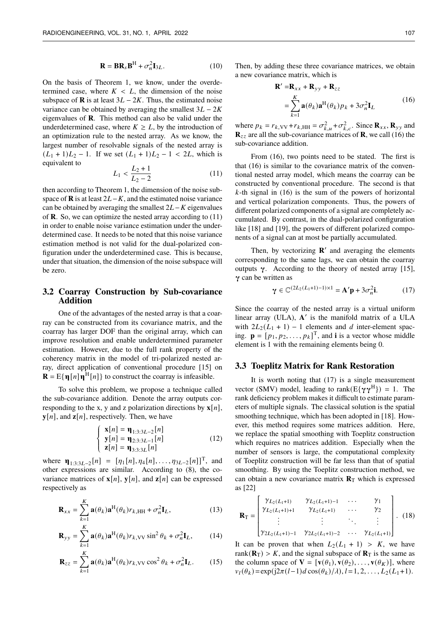$$
\mathbf{R} = \mathbf{B} \mathbf{R}_s \mathbf{B}^{\mathrm{H}} + \sigma_n^2 \mathbf{I}_{3L}.
$$
 (10)

On the basis of Theorem 1, we know, under the overdetermined case, where  $K < L$ , the dimension of the noise subspace of **R** is at least  $3L - 2K$ . Thus, the estimated noise variance can be obtained by averaging the smallest  $3L - 2K$ eigenvalues of **R**. This method can also be valid under the underdetermined case, where  $K \geq L$ , by the introduction of an optimization rule to the nested array. As we know, the largest number of resolvable signals of the nested array is  $(L_1 + 1)L_2 - 1$ . If we set  $(L_1 + 1)L_2 - 1 < 2L$ , which is equivalent to

$$
L_1 < \frac{L_2 + 1}{L_2 - 2} \tag{11}
$$

then according to Theorem 1, the dimension of the noise subspace of **R** is at least  $2L - K$ , and the estimated noise variance can be obtained by averaging the smallest  $2L - K$  eigenvalues of **R**. So, we can optimize the nested array according to (11) in order to enable noise variance estimation under the underdetermined case. It needs to be noted that this noise variance estimation method is not valid for the dual-polarized configuration under the underdetermined case. This is because, under that situation, the dimension of the noise subspace will be zero.

#### **3.2 Coarray Construction by Sub-covariance Addition**

One of the advantages of the nested array is that a coarray can be constructed from its covariance matrix, and the coarray has larger DOF than the original array, which can improve resolution and enable underdetermined parameter estimation. However, due to the full rank property of the coherency matrix in the model of tri-polarized nested array, direct application of conventional procedure [15] on  $\mathbf{R} = \mathbf{E} \{ \mathbf{\eta}[n] \mathbf{\eta}^{\mathrm{H}}[n] \}$  to construct the coarray is infeasible.

To solve this problem, we propose a technique called the sub-covariance addition. Denote the array outputs corresponding to the x, y and z polarization directions by  $\mathbf{x}[n]$ ,  $\mathbf{y}[n]$ , and  $\mathbf{z}[n]$ , respectively. Then, we have

$$
\begin{cases}\n\mathbf{x}[n] = \mathbf{\eta}_{1:3:3L-2}[n] \\
\mathbf{y}[n] = \mathbf{\eta}_{2:3:3L-1}[n] \\
\mathbf{z}[n] = \mathbf{\eta}_{3:3:3L}[n]\n\end{cases}
$$
\n(12)

where  $\mathbf{\eta}_{1:3:3L-2}[n] = [\eta_1[n], \eta_4[n], \dots, \eta_{3L-2}[n]]^T$ , and other expressions are similar. According to (8), the covariance matrices of  $\mathbf{x}[n]$ ,  $\mathbf{y}[n]$ , and  $\mathbf{z}[n]$  can be expressed respectively as

$$
\mathbf{R}_{xx} = \sum_{k=1}^{K} \mathbf{a}(\theta_k) \mathbf{a}^{\mathrm{H}}(\theta_k) r_{k,\mathrm{HH}} + \sigma_n^2 \mathbf{I}_L, \qquad (13)
$$

$$
\mathbf{R}_{yy} = \sum_{k=1}^{K} \mathbf{a}(\theta_k) \mathbf{a}^{\mathrm{H}}(\theta_k) r_{k, \mathrm{VV}} \sin^2 \theta_k + \sigma_n^2 \mathbf{I}_L, \qquad (14)
$$

$$
\mathbf{R}_{zz} = \sum_{k=1}^{K} \mathbf{a}(\theta_k) \mathbf{a}^{\mathrm{H}}(\theta_k) r_{k, \mathrm{VV}} \cos^2 \theta_k + \sigma_n^2 \mathbf{I}_L.
$$
 (15)

Then, by adding these three covariance matrices, we obtain a new covariance matrix, which is

$$
\mathbf{R}' = \mathbf{R}_{xx} + \mathbf{R}_{yy} + \mathbf{R}_{zz}
$$
  
= 
$$
\sum_{k=1}^{K} \mathbf{a}(\theta_k) \mathbf{a}^{H}(\theta_k) p_k + 3\sigma_n^2 \mathbf{I}_L
$$
 (16)

where  $p_k = r_{k,VV} + r_{k,HH} = \sigma_{k,u}^2 + \sigma_{k,c}^2$ . Since  $\mathbf{R}_{xx}, \mathbf{R}_{yy}$  and  $\mathbf{R}_{zz}$  are all the sub-covariance matrices of **R**, we call (16) the sub-covariance addition.

From (16), two points need to be stated. The first is that (16) is similar to the covariance matrix of the conventional nested array model, which means the coarray can be constructed by conventional procedure. The second is that  $k$ -th signal in (16) is the sum of the powers of horizontal and vertical polarization components. Thus, the powers of different polarized components of a signal are completely accumulated. By contrast, in the dual-polarized configuration like [18] and [19], the powers of different polarized components of a signal can at most be partially accumulated.

Then, by vectorizing  $\mathbb{R}'$  and averaging the elements corresponding to the same lags, we can obtain the coarray outputs  $\gamma$ . According to the theory of nested array [15],  $\gamma$  can be written as

$$
\gamma \in \mathbb{C}^{(2L_2(L_1+1)-1)\times 1} = \mathbf{A}'\mathbf{p} + 3\sigma_n^2 \mathbf{i}.\tag{17}
$$

Since the coarray of the nested array is a virtual uniform linear array (ULA), A' is the manifold matrix of a ULA with  $2L_2(L_1 + 1) - 1$  elements and d inter-element spacing.  $\mathbf{p} = [p_1, p_2, \dots, p_k]^\text{T}$ , and **i** is a vector whose middle element is 1 with the remaining elements being 0.

#### **3.3 Toeplitz Matrix for Rank Restoration**

It is worth noting that (17) is a single measurement vector (SMV) model, leading to rank( $E\{\gamma\gamma^H\}) = 1$ . The rank deficiency problem makes it difficult to estimate parameters of multiple signals. The classical solution is the spatial smoothing technique, which has been adopted in [18]. However, this method requires some matrices addition. Here, we replace the spatial smoothing with Toeplitz construction which requires no matrices addition. Especially when the number of sensors is large, the computational complexity of Toeplitz construction will be far less than that of spatial smoothing. By using the Toeplitz construction method, we can obtain a new covariance matrix  $\mathbf{R}_T$  which is expressed as [22]

$$
\mathbf{R}_{\mathrm{T}} = \begin{bmatrix} \gamma_{L_2(L_1+1)} & \gamma_{L_2(L_1+1)-1} & \cdots & \gamma_1 \\ \gamma_{L_2(L_1+1)+1} & \gamma_{L_2(L_1+1)} & \cdots & \gamma_2 \\ \vdots & \vdots & \ddots & \vdots \\ \gamma_{2L_2(L_1+1)-1} & \gamma_{2L_2(L_1+1)-2} & \cdots & \gamma_{L_2(L_1+1)} \end{bmatrix} . (18)
$$

It can be proven that when  $L_2(L_1 + 1) > K$ , we have rank( $\mathbf{R}_T$ ) > K, and the signal subspace of  $\mathbf{R}_T$  is the same as the column space of  $V = [v(\theta_1), v(\theta_2), \dots, v(\theta_K)]$ , where  $v_1(\theta_k) = \exp(i2\pi(l-1)d\cos(\theta_k)/\lambda), l = 1, 2, \ldots, L_2(L_1+1).$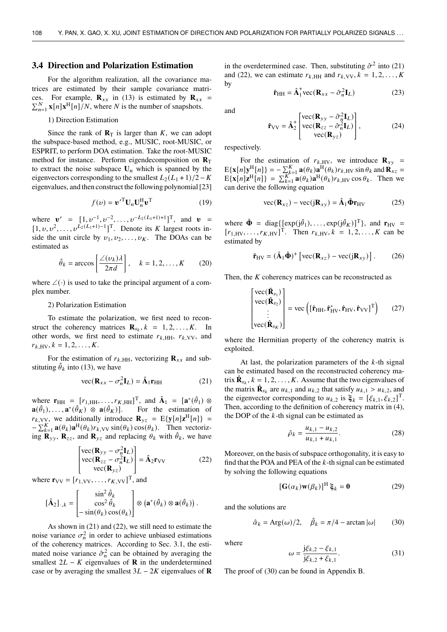#### **3.4 Direction and Polarization Estimation**

For the algorithm realization, all the covariance matrices are estimated by their sample covariance matrices. For example,  $\mathbf{R}_{xx}$  in (13) is estimated by  $\mathbf{R}_{xx}$  =  $\sum_{n=1}^{N}$  **x**[n]**x**<sup>H</sup>[n]/N, where N is the number of snapshots.

1) Direction Estimation

Since the rank of  $\mathbf{R}_{\text{T}}$  is larger than K, we can adopt the subspace-based method, e.g., MUSIC, root-MUSIC, or ESPRIT, to perform DOA estimation. Take the root-MUSIC method for instance. Perform eigendecomposition on **R**T to extract the noise subspace  $U_n$  which is spanned by the eigenvectors corresponding to the smallest  $L_2(L_1 + 1)/2 - K$ eigenvalues, and then construct the following polynomial [23]

$$
f(v) = \mathbf{v}'^{\mathrm{T}} \mathbf{U}_n \mathbf{U}_n^{\mathrm{H}} \mathbf{v}^{\mathrm{T}}
$$
 (19)

where  $\mathbf{v}' = [1, v^{-1}, v^{-2}, \dots, v^{-L_2(L_1+1)+1}]^T$ , and  $\mathbf{v} =$  $[1, v, v^2, \dots, v^{L_2(L_1+1)-1}]^T$ . Denote its K largest roots inside the unit circle by  $v_1, v_2, \ldots, v_K$ . The DOAs can be estimated as

$$
\hat{\theta}_k = \arccos\left[\frac{\angle(\nu_k)\lambda}{2\pi d}\right], \quad k = 1, 2, \dots, K \tag{20}
$$

where  $\angle(\cdot)$  is used to take the principal argument of a complex number.

2) Polarization Estimation

To estimate the polarization, we first need to reconstruct the coherency matrices  $\mathbf{R}_{s_k}, k = 1, 2, ..., K$ . In other words, we first need to estimate  $r_{k,HH}$ ,  $r_{k,VV}$ , and  $r_{k \text{HV}}, k = 1, 2, \ldots, K.$ 

For the estimation of  $r_{k,HH}$ , vectorizing  $\mathbf{R}_{xx}$  and substituting  $\hat{\theta}_k$  into (13), we have

$$
\text{vec}(\mathbf{R}_{xx} - \sigma_n^2 \mathbf{I}_L) = \hat{\mathbf{A}}_1 \mathbf{r}_{HH} \tag{21}
$$

where  $\mathbf{r}_{HH} = [r_{1,HH}, \dots, r_{K,HH}]^T$ , and  $\hat{\mathbf{A}}_1 = [\mathbf{a}^*(\hat{\theta}_1) \otimes \mathbf{a}]$  $\mathbf{a}(\hat{\theta}_1), \ldots, \mathbf{a}^*$ For the estimation of  $r_{k,VV}$ , we additionally introduce  $\mathbf{R}_{yz} = E\{\mathbf{y}[n]\mathbf{z}^H[n]\} =$  $-\sum_{k=1}^{K} \mathbf{a}(\theta_k) \mathbf{a}^{\text{H}}(\theta_k) r_{k,VV} \sin(\theta_k) \cos(\theta_k)$ . Then vectorizing  $\mathbf{R}_{yy}$ ,  $\mathbf{R}_{zz}$ , and  $\mathbf{R}_{yz}$  and replacing  $\theta_k$  with  $\hat{\theta}_k$ , we have

$$
\begin{bmatrix}\n\text{vec}(\mathbf{R}_{yy} - \sigma_n^2 \mathbf{I}_L) \\
\text{vec}(\mathbf{R}_{zz} - \sigma_n^2 \mathbf{I}_L) \\
\text{vec}(\mathbf{R}_{yz})\n\end{bmatrix} = \hat{\mathbf{A}}_2 \mathbf{r}_{VV}
$$
\n(22)

where  $\mathbf{r}_{VV} = [r_{1,VV}, \dots, r_{K,VV}]^T$ , and

$$
\left[\hat{\mathbf{A}}_2\right]_{\cdot,k} = \begin{bmatrix} \sin^2 \hat{\theta}_k \\ \cos^2 \hat{\theta}_k \\ -\sin(\theta_k) \cos(\theta_k) \end{bmatrix} \otimes \left(\mathbf{a}^*(\hat{\theta}_k) \otimes \mathbf{a}(\hat{\theta}_k)\right).
$$

As shown in (21) and (22), we still need to estimate the noise variance  $\sigma_n^2$  in order to achieve unbiased estimations of the coherency matrices. According to Sec. 3.1, the estimated noise variance  $\hat{\sigma}_n^2$  can be obtained by averaging the smallest  $2L - K$  eigenvalues of **R** in the underdetermined case or by averaging the smallest  $3L - 2K$  eigenvalues of **R** 

in the overdetermined case. Then, substituting  $\hat{\sigma}^2$  into (21) and (22), we can estimate  $r_{k,HH}$  and  $r_{k,VV}$ ,  $k = 1, 2, \ldots, K$ by

$$
\hat{\mathbf{r}}_{HH} = \hat{\mathbf{A}}_1^+ \text{vec}(\mathbf{R}_{xx} - \hat{\sigma}_n^2 \mathbf{I}_L) \tag{23}
$$

and

$$
\hat{\mathbf{r}}_{\rm VV} = \hat{\mathbf{A}}_2^+ \begin{bmatrix} \text{vec}(\mathbf{R}_{\rm yy} - \hat{\sigma}_n^2 \mathbf{I}_L) \\ \text{vec}(\mathbf{R}_{\rm zz} - \hat{\sigma}_n^2 \mathbf{I}_L) \\ \text{vec}(\mathbf{R}_{\rm yz}) \end{bmatrix},\tag{24}
$$

respectively.

For the estimation of  $r_{k,HV}$ , we introduce  $\mathbf{R}_{xy}$  =  $E\{\mathbf{x}[n]\mathbf{y}_{\text{H}}^{\text{H}}[n]\} = -\sum_{k=1}^{K} \mathbf{a}(\theta_k) \mathbf{a}_{\text{H}}^{\text{H}}(\theta_k) r_{k,\text{HV}} \sin \theta_k \text{ and } \mathbf{R}_{xz}$  $E\{\mathbf{x}[n]\mathbf{z}^{\mathrm{H}}[n]\} = \sum_{k=1}^{K} \mathbf{a}(\theta_k) \mathbf{a}^{\mathrm{H}}(\theta_k) r_{k, \mathrm{HV}} \cos \theta_k$ . Then we can derive the following equation

$$
\text{vec}(\mathbf{R}_{xz}) - \text{vec}(j\mathbf{R}_{xy}) = \hat{\mathbf{A}}_1 \hat{\mathbf{\Phi}} \mathbf{r}_{HV}
$$
 (25)

where  $\hat{\Phi}$  = diag{[exp(j $\hat{\theta}_1$ ),..., exp(j $\hat{\theta}_K$ )]<sup>T</sup>}, and **r**<sub>HV</sub> =  $[r_{1,HV}, \ldots, r_{K,HV}]^{T}$ . Then  $r_{k,HV}, k = 1, 2, \ldots, K$  can be estimated by

$$
\hat{\mathbf{r}}_{\rm HV} = (\hat{\mathbf{A}}_1 \hat{\mathbf{\Phi}})^+ \left[ \text{vec}(\mathbf{R}_{xz}) - \text{vec}(\mathbf{j} \mathbf{R}_{xy}) \right]. \tag{26}
$$

Then, the  $K$  coherency matrices can be reconstructed as

$$
\begin{bmatrix}\n\text{vec}(\hat{\mathbf{R}}_{s_1}) \\
\text{vec}(\hat{\mathbf{R}}_{s_2}) \\
\vdots \\
\text{vec}(\hat{\mathbf{R}}_{s_K})\n\end{bmatrix} = \text{vec}\left([\hat{\mathbf{r}}_{HH}, \hat{\mathbf{r}}_{HV}^*, \hat{\mathbf{r}}_{HV}, \hat{\mathbf{r}}_{VV}]^T\right) (27)
$$

where the Hermitian property of the coherency matrix is exploited.

At last, the polarization parameters of the  $k$ -th signal can be estimated based on the reconstructed coherency matrix  $\hat{\mathbf{R}}_{s_k}$ ,  $k = 1, 2, ..., K$ . Assume that the two eigenvalues of the matrix  $\hat{\mathbf{R}}_{s_k}$  are  $u_{k,1}$  and  $u_{k,2}$  that satisfy  $u_{k,1} > u_{k,2}$ , and the eigenvector corresponding to  $u_{k,2}$  is  $\xi_k = [\xi_{k,1}, \xi_{k,2}]^T$ . Then, according to the definition of coherency matrix in (4), the DOP of the  $k$ -th signal can be estimated as

$$
\hat{\rho}_k = \frac{u_{k,1} - u_{k,2}}{u_{k,1} + u_{k,1}}.\tag{28}
$$

Moreover, on the basis of subspace orthogonality, it is easy to find that the POA and PEA of the  $k$ -th signal can be estimated by solving the following equations

$$
[\mathbf{G}(\alpha_k)\mathbf{w}(\beta_k)]^{\mathrm{H}}\mathbf{\xi}_k = \mathbf{0}
$$
 (29)

and the solutions are

$$
\hat{\alpha}_k = \text{Arg}(\omega)/2, \quad \hat{\beta}_k = \pi/4 - \arctan|\omega| \quad (30)
$$

where

$$
\omega = \frac{j\xi_{k,2} - \xi_{k,1}}{j\xi_{k,2} + \xi_{k,1}}.
$$
\n(31)

The proof of (30) can be found in Appendix B.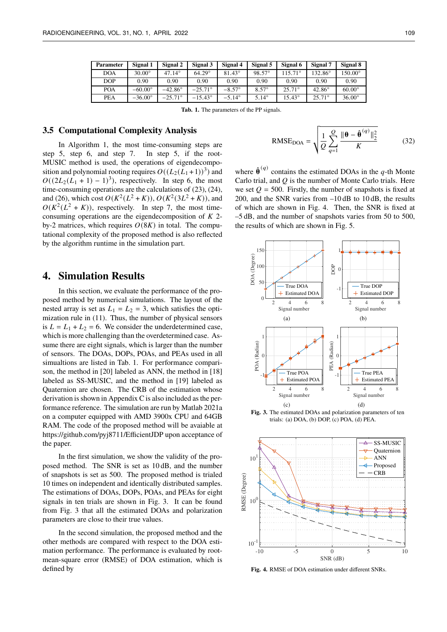| <b>Parameter</b> | Signal 1       | Signal 2         | Signal 3         | Signal 4        | Signal 5     | Signal 6         | Signal 7         | Signal 8         |
|------------------|----------------|------------------|------------------|-----------------|--------------|------------------|------------------|------------------|
| <b>DOA</b>       | $30.00^\circ$  | $47.14^{\circ}$  | $64.29^\circ$    | $81.43^{\circ}$ | 98.57°       | $115.71^{\circ}$ | $132.86^{\circ}$ | $150.00^{\circ}$ |
| <b>DOP</b>       | 0.90           | 0.90             | 0.90             | 0.90            | 0.90         | 0.90             | 0.90             | 0.90             |
| <b>POA</b>       | $-60.00^\circ$ | $-42.86^{\circ}$ | $-25.71^{\circ}$ | $-8.57^{\circ}$ | $8.57^\circ$ | $25.71^{\circ}$  | $42.86^\circ$    | $60.00^\circ$    |
| <b>PEA</b>       | $-36.00^\circ$ | $-25.71^{\circ}$ | $-15.43^{\circ}$ | $-5.14^{\circ}$ | $5.14^\circ$ | $15.43^{\circ}$  | $25.71^{\circ}$  | $36.00^{\circ}$  |

**Tab. 1.** The parameters of the PP signals.

#### **3.5 Computational Complexity Analysis**

In Algorithm 1, the most time-consuming steps are step 5, step 6, and step 7. In step 5, if the root-MUSIC method is used, the operations of eigendecomposition and polynomial rooting requires  $O((L_2(L_1+1))^3)$  and  $O((2L_2(L_1 + 1) - 1)^3)$ , respectively. In step 6, the most time-consuming operations are the calculations of (23), (24), and (26), which cost  $O(K^2(L^2 + K))$ ,  $O(K^2(3L^2 + K))$ , and  $O(K^2(L^2 + K))$ , respectively. In step 7, the most timeconsuming operations are the eigendecomposition of  $K$  2by-2 matrices, which requires  $O(8K)$  in total. The computational complexity of the proposed method is also reflected by the algorithm runtime in the simulation part.

## **4. Simulation Results**

In this section, we evaluate the performance of the proposed method by numerical simulations. The layout of the nested array is set as  $L_1 = L_2 = 3$ , which satisfies the optimization rule in (11). Thus, the number of physical sensors is  $L = L_1 + L_2 = 6$ . We consider the underdetermined case, which is more challenging than the overdetermined case. Assume there are eight signals, which is larger than the number of sensors. The DOAs, DOPs, POAs, and PEAs used in all simualtions are listed in Tab. 1. For performance comparison, the method in [20] labeled as ANN, the method in [18] labeled as SS-MUSIC, and the method in [19] labeled as Quaternion are chosen. The CRB of the estimation whose derivation is shown in Appendix C is also included as the performance reference. The simulation are run by Matlab 2021a on a computer equipped with AMD 3900x CPU and 64GB RAM. The code of the proposed method will be avaiable at https://github.com/pyj8711/EfficientJDP upon acceptance of the paper.

In the first simulation, we show the validity of the proposed method. The SNR is set as 10 dB, and the number of snapshots is set as 500. The proposed method is trialed 10 times on independent and identically distributed samples. The estimations of DOAs, DOPs, POAs, and PEAs for eight signals in ten trials are shown in Fig. 3. It can be found from Fig. 3 that all the estimated DOAs and polarization parameters are close to their true values.

In the second simulation, the proposed method and the other methods are compared with respect to the DOA estimation performance. The performance is evaluated by rootmean-square error (RMSE) of DOA estimation, which is defined by

RMSE<sub>DOA</sub> = 
$$
\sqrt{\frac{1}{Q} \sum_{q=1}^{Q} \frac{\|\theta - \hat{\theta}^{(q)}\|_2^2}{K}}
$$
 (32)

where  $\hat{\theta}^{(q)}$  contains the estimated DOAs in the q-th Monte Carlo trial, and  $Q$  is the number of Monte Carlo trials. Here we set  $Q = 500$ . Firstly, the number of snapshots is fixed at 200, and the SNR varies from –10 dB to 10 dB, the results of which are shown in Fig. 4. Then, the SNR is fixed at –5 dB, and the number of snapshots varies from 50 to 500, the results of which are shown in Fig. 5.



**Fig. 3.** The estimated DOAs and polarization parameters of ten trials: (a) DOA, (b) DOP, (c) POA, (d) PEA.



**Fig. 4.** RMSE of DOA estimation under different SNRs.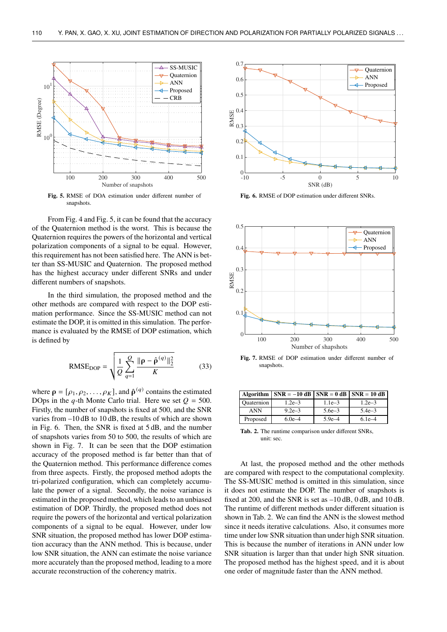

**Fig. 5.** RMSE of DOA estimation under different number of snapshots.

From Fig. 4 and Fig. 5, it can be found that the accuracy of the Quaternion method is the worst. This is because the Quaternion requires the powers of the horizontal and vertical polarization components of a signal to be equal. However, this requirement has not been satisfied here. The ANN is better than SS-MUSIC and Quaternion. The proposed method has the highest accuracy under different SNRs and under different numbers of snapshots.

In the third simulation, the proposed method and the other methods are compared with respect to the DOP estimation performance. Since the SS-MUSIC method can not estimate the DOP, it is omitted in this simulation. The performance is evaluated by the RMSE of DOP estimation, which is defined by

RMSE<sub>DOP</sub> = 
$$
\sqrt{\frac{1}{Q} \sum_{q=1}^{Q} \frac{\|\rho - \hat{\rho}^{(q)}\|_2^2}{K}}
$$
 (33)

where  $\mathbf{\rho} = [\rho_1, \rho_2, \dots, \rho_K]$ , and  $\hat{\mathbf{\rho}}^{(q)}$  contains the estimated DOps in the q-th Monte Carlo trial. Here we set  $Q = 500$ . Firstly, the number of snapshots is fixed at 500, and the SNR varies from –10 dB to 10 dB, the results of which are shown in Fig. 6. Then, the SNR is fixed at 5 dB, and the number of snapshots varies from 50 to 500, the results of which are shown in Fig. 7. It can be seen that the DOP estimation accuracy of the proposed method is far better than that of the Quaternion method. This performance difference comes from three aspects. Firstly, the proposed method adopts the tri-polarized configuration, which can completely accumulate the power of a signal. Secondly, the noise variance is estimated in the proposed method, which leads to an unbiased estimation of DOP. Thirdly, the proposed method does not require the powers of the horizontal and vertical polarization components of a signal to be equal. However, under low SNR situation, the proposed method has lower DOP estimation accuracy than the ANN method. This is because, under low SNR situation, the ANN can estimate the noise variance more accurately than the proposed method, leading to a more accurate reconstruction of the coherency matrix.



**Fig. 6.** RMSE of DOP estimation under different SNRs.



**Fig. 7.** RMSE of DOP estimation under different number of snapshots.

|            | Algorithm $\vert$ SNR = -10 dB $\vert$ SNR = 0 dB $\vert$ SNR = 10 dB |            |            |
|------------|-----------------------------------------------------------------------|------------|------------|
| Quaternion | $1.2e - 3$                                                            | $1.1e-3$   | $1.2e-3$   |
| <b>ANN</b> | $9.2e - 3$                                                            | $5.6e - 3$ | $5.4e - 3$ |
| Proposed   | $6.0e-4$                                                              | $5.9e - 4$ | $6.1e-4$   |

**Tab. 2.** The runtime comparison under different SNRs, unit: sec.

At last, the proposed method and the other methods are compared with respect to the computational complexity. The SS-MUSIC method is omitted in this simulation, since it does not estimate the DOP. The number of snapshots is fixed at 200, and the SNR is set as –10 dB, 0 dB, and 10 dB. The runtime of different methods under different situation is shown in Tab. 2. We can find the ANN is the slowest method since it needs iterative calculations. Also, it consumes more time under low SNR situation than under high SNR situation. This is because the number of iterations in ANN under low SNR situation is larger than that under high SNR situation. The proposed method has the highest speed, and it is about one order of magnitude faster than the ANN method.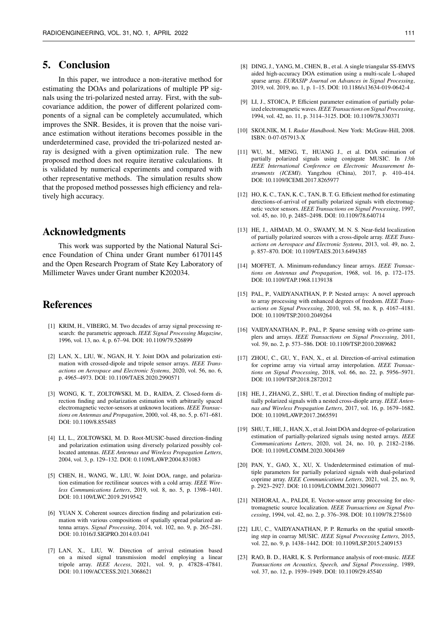# **5. Conclusion**

In this paper, we introduce a non-iterative method for estimating the DOAs and polarizations of multiple PP signals using the tri-polarized nested array. First, with the subcovariance addition, the power of different polarized components of a signal can be completely accumulated, which improves the SNR. Besides, it is proven that the noise variance estimation without iterations becomes possible in the underdetermined case, provided the tri-polarized nested array is designed with a given optimization rule. The new proposed method does not require iterative calculations. It is validated by numerical experiments and compared with other representative methods. The simulation results show that the proposed method possesses high efficiency and relatively high accuracy.

# **Acknowledgments**

This work was supported by the National Natural Science Foundation of China under Grant number 61701145 and the Open Research Program of State Key Laboratory of Millimeter Waves under Grant number K202034.

# **References**

- [1] KRIM, H., VIBERG, M. Two decades of array signal processing research: the parametric approach. *IEEE Signal Processing Magazine*, 1996, vol. 13, no. 4, p. 67–94. DOI: 10.1109/79.526899
- [2] LAN, X., LIU, W., NGAN, H. Y. Joint DOA and polarization estimation with crossed-dipole and tripole sensor arrays. *IEEE Transactions on Aerospace and Electronic Systems*, 2020, vol. 56, no. 6, p. 4965–4973. DOI: 10.1109/TAES.2020.2990571
- [3] WONG, K. T., ZOLTOWSKI, M. D., RAIDA, Z. Closed-form direction finding and polarization estimation with arbitrarily spaced electromagnetic vector-sensors at unknown locations. *IEEE Transactions on Antennas and Propagation*, 2000, vol. 48, no. 5, p. 671–681. DOI: 10.1109/8.855485
- [4] LI, L., ZOLTOWSKI, M. D. Root-MUSIC-based direction-finding and polarization estimation using diversely polarized possibly collocated antennas. *IEEE Antennas and Wireless Propagation Letters*, 2004, vol. 3, p. 129–132. DOI: 0.1109/LAWP.2004.831083
- [5] CHEN, H., WANG, W., LIU, W. Joint DOA, range, and polarization estimation for rectilinear sources with a cold array. *IEEE Wireless Communications Letters*, 2019, vol. 8, no. 5, p. 1398–1401. DOI: 10.1109/LWC.2019.2919542
- [6] YUAN X. Coherent sources direction finding and polarization estimation with various compositions of spatially spread polarized antenna arrays. *Signal Processing*, 2014, vol. 102, no. 9, p. 265–281. DOI: 10.1016/J.SIGPRO.2014.03.041
- [7] LAN, X., LIU, W. Direction of arrival estimation based on a mixed signal transmission model employing a linear tripole array. *IEEE Access*, 2021, vol. 9, p. 47828–47841. DOI: 10.1109/ACCESS.2021.3068621
- [8] DING, J., YANG, M., CHEN, B., et al. A single triangular SS-EMVS aided high-accuracy DOA estimation using a multi-scale L-shaped sparse array. *EURASIP Journal on Advances in Signal Processing*, 2019, vol. 2019, no. 1, p. 1–15. DOI: 10.1186/s13634-019-0642-4
- [9] LI, J., STOICA, P. Efficient parameter estimation of partially polarized electromagnetic waves.*IEEE Transactions on Signal Processing*, 1994, vol. 42, no. 11, p. 3114–3125. DOI: 10.1109/78.330371
- [10] SKOLNIK, M. I. *Radar Handbook*. New York: McGraw-Hill, 2008. ISBN: 0-07-057913-X
- [11] WU, M., MENG, T., HUANG J., et al. DOA estimation of partially polarized signals using conjugate MUSIC. In *13th IEEE International Conference on Electronic Measurement Instruments (ICEMI)*. Yangzhou (China), 2017, p. 410–414. DOI: 10.1109/ICEMI.2017.8265977
- [12] HO, K. C., TAN, K. C., TAN, B. T. G. Efficient method for estimating directions-of-arrival of partially polarized signals with electromagnetic vector sensors. *IEEE Transactions on Signal Processing*, 1997, vol. 45, no. 10, p. 2485–2498. DOI: 10.1109/78.640714
- [13] HE, J., AHMAD, M. O., SWAMY, M. N. S. Near-field localization of partially polarized sources with a cross-dipole array. *IEEE Transactions on Aerospace and Electronic Systems*, 2013, vol. 49, no. 2, p. 857–870. DOI: 10.1109/TAES.2013.6494385
- [14] MOFFET, A. Minimum-redundancy linear arrays. *IEEE Transactions on Antennas and Propagation*, 1968, vol. 16, p. 172–175. DOI: 10.1109/TAP.1968.1139138
- [15] PAL, P., VAIDYANATHAN, P. P. Nested arrays: A novel approach to array processing with enhanced degrees of freedom. *IEEE Transactions on Signal Processing*, 2010, vol. 58, no. 8, p. 4167–4181. DOI: 10.1109/TSP.2010.2049264
- [16] VAIDYANATHAN, P., PAL, P. Sparse sensing with co-prime samplers and arrays. *IEEE Transactions on Signal Processing*, 2011, vol. 59, no. 2, p. 573–586. DOI: 10.1109/TSP.2010.2089682
- [17] ZHOU, C., GU, Y., FAN, X., et al. Direction-of-arrival estimation for coprime array via virtual array interpolation. *IEEE Transactions on Signal Processing*, 2018, vol. 66, no. 22, p. 5956–5971. DOI: 10.1109/TSP.2018.2872012
- [18] HE, J., ZHANG, Z., SHU, T., et al. Direction finding of multiple partially polarized signals with a nested cross-diople array. *IEEE Antennas and Wireless Propagation Letters*, 2017, vol. 16, p. 1679–1682. DOI: 10.1109/LAWP.2017.2665591
- [19] SHU, T., HE, J., HAN, X., et al. Joint DOA and degree-of-polarization estimation of partially-polarized signals using nested arrays. *IEEE Communications Letters*, 2020, vol. 24, no. 10, p. 2182–2186. DOI: 10.1109/LCOMM.2020.3004369
- [20] PAN, Y., GAO, X., XU, X. Underdetermined estimation of multiple parameters for partially polarized signals with dual-polarized coprime array. *IEEE Communications Letters*, 2021, vol. 25, no. 9, p. 2923–2927. DOI: 10.1109/LCOMM.2021.3096077
- [21] NEHORAI, A., PALDI, E. Vector-sensor array processing for electromagnetic source localization. *IEEE Transactions on Signal Processing*, 1994, vol. 42, no. 2, p. 376–398. DOI: 10.1109/78.275610
- [22] LIU, C., VAIDYANATHAN, P. P. Remarks on the spatial smoothing step in coarray MUSIC. *IEEE Signal Processing Letters*, 2015, vol. 22, no. 9, p. 1438–1442. DOI: 10.1109/LSP.2015.2409153
- [23] RAO, B. D., HARI, K. S. Performance analysis of root-music. *IEEE Transactions on Acoustics, Speech, and Signal Processing*, 1989, vol. 37, no. 12, p. 1939–1949. DOI: 10.1109/29.45540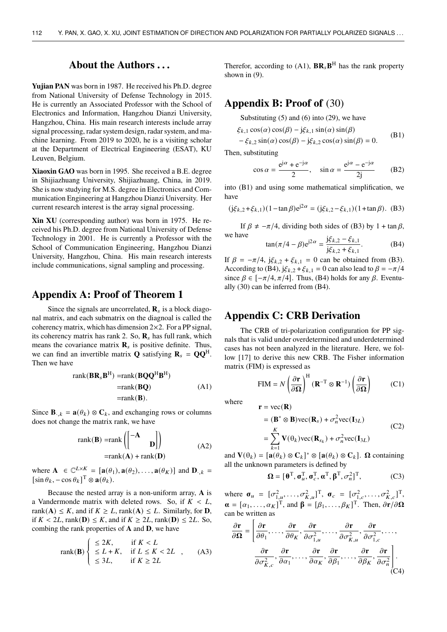# **About the Authors . . .**

**Yujian PAN** was born in 1987. He received his Ph.D. degree from National University of Defense Technology in 2015. He is currently an Associated Professor with the School of Electronics and Information, Hangzhou Dianzi University, Hangzhou, China. His main research interests include array signal processing, radar system design, radar system, and machine learning. From 2019 to 2020, he is a visiting scholar at the Department of Electrical Engineering (ESAT), KU Leuven, Belgium.

**Xiaoxin GAO** was born in 1995. She received a B.E. degree in Shijiazhuang University, Shijiazhuang, China, in 2019. She is now studying for M.S. degree in Electronics and Communication Engineering at Hangzhou Dianzi University. Her current research interest is the array signal processing.

**Xin XU** (corresponding author) was born in 1975. He received his Ph.D. degree from National University of Defense Technology in 2001. He is currently a Professor with the School of Communication Engineering, Hangzhou Dianzi University, Hangzhou, China. His main research interests include communications, signal sampling and processing.

# **Appendix A: Proof of Theorem 1**

Since the signals are uncorrelated,  $\mathbf{R}_s$  is a block diagonal matrix, and each submatrix on the diagnoal is called the coherency matrix, which has dimension  $2 \times 2$ . For a PP signal, its coherency matrix has rank 2. So,  $\mathbf{R}_s$  has full rank, which means the covariance matrix  $\mathbf{R}_s$  is positive definite. Thus, we can find an invertible matrix **Q** satisfying  $\mathbf{R}_s = \mathbf{Q}\mathbf{Q}^{\text{H}}$ . Then we have

$$
rank(BR_sB^H) = rank(BQQ^HB^H)
$$
  
=rank(BQ) (A1)  
=rank(B).

Since  $\mathbf{B}_{\cdot,k} = \mathbf{a}(\theta_k) \otimes \mathbf{C}_k$ , and exchanging rows or columns does not change the matrix rank, we have

$$
rank(\mathbf{B}) = rank \begin{pmatrix} -\mathbf{A} \\ \mathbf{D} \end{pmatrix}
$$
  
= rank(\mathbf{A}) + rank(\mathbf{D}) (A2)

where  $\mathbf{A} \in \mathbb{C}^{L \times K} = [\mathbf{a}(\theta_1), \mathbf{a}(\theta_2), \dots, \mathbf{a}(\theta_K)]$  and  $\mathbf{D}_{\cdot,k} =$  $[\sin \theta_k, -\cos \theta_k]^T \otimes \mathbf{a}(\theta_k).$ 

Because the nested array is a non-uniform array, **A** is a Vandermonde matrix with deleted rows. So, if  $K < L$ , rank(**A**)  $\le K$ , and if  $K \ge L$ , rank(**A**)  $\le L$ . Similarly, for **D**, if  $K < 2L$ , rank(**D**)  $\le K$ , and if  $K \ge 2L$ , rank(**D**)  $\le 2L$ . So, combing the rank properties of **A** and **D**, we have

rank(**B**) 
$$
\begin{cases} \leq 2K, & \text{if } K < L \\ \leq L + K, & \text{if } L \leq K < 2L \\ \leq 3L, & \text{if } K \geq 2L \end{cases}
$$
 (A3)

Therefor, according to (A1),  $\text{BR}_s\text{B}^H$  has the rank property shown in (9).

# **Appendix B: Proof of** (30)

Substituting  $(5)$  and  $(6)$  into  $(29)$ , we have

$$
\xi_{k,1} \cos(\alpha) \cos(\beta) - j\xi_{k,1} \sin(\alpha) \sin(\beta) \n- \xi_{k,2} \sin(\alpha) \cos(\beta) - j\xi_{k,2} \cos(\alpha) \sin(\beta) = 0.
$$
\n(B1)

Then, substituting

$$
\cos \alpha = \frac{e^{j\alpha} + e^{-j\alpha}}{2}, \quad \sin \alpha = \frac{e^{j\alpha} - e^{-j\alpha}}{2j}
$$
 (B2)

into (B1) and using some mathematical simplification, we have

$$
(j\xi_{k,2} + \xi_{k,1})(1 - \tan \beta)e^{j2\alpha} = (j\xi_{k,2} - \xi_{k,1})(1 + \tan \beta).
$$
 (B3)

If  $\beta \neq -\pi/4$ , dividing both sides of (B3) by 1 + tan  $\beta$ , we have j,<sup>2</sup> − ,<sup>1</sup>

$$
\tan(\pi/4 - \beta)e^{j2\alpha} = \frac{j\xi_{k,2} - \xi_{k,1}}{j\xi_{k,2} + \xi_{k,1}}.
$$
 (B4)

If  $\beta = -\pi/4$ ,  $j\xi_{k,2} + \xi_{k,1} = 0$  can be obtained from (B3). According to (B4),  $j\xi_{k,2} + \xi_{k,1} = 0$  can also lead to  $\beta = -\pi/4$ since  $\beta \in [-\pi/4, \pi/4]$ . Thus, (B4) holds for any  $\beta$ . Eventually (30) can be inferred from (B4).

# **Appendix C: CRB Derivation**

The CRB of tri-polarization configuration for PP signals that is valid under overdetermined and underdetermined cases has not been analyzed in the literature. Here, we follow [17] to derive this new CRB. The Fisher information matrix (FIM) is expressed as

$$
\text{FIM} = N \left( \frac{\partial \mathbf{r}}{\partial \Omega} \right)^{\text{H}} (\mathbf{R}^{-T} \otimes \mathbf{R}^{-1}) \left( \frac{\partial \mathbf{r}}{\partial \Omega} \right) \tag{C1}
$$

where  $\mathbf{r} = \text{vec}(\mathbf{R})$ 

$$
= (\mathbf{B}^* \otimes \mathbf{B})\text{vec}(\mathbf{R}_s) + \sigma_n^2 \text{vec}(\mathbf{I}_{3L})
$$
  
= 
$$
\sum_{k=1}^K \mathbf{V}(\theta_k) \text{vec}(\mathbf{R}_{s_k}) + \sigma_n^2 \text{vec}(\mathbf{I}_{3L})
$$
 (C2)

and  $\mathbf{V}(\theta_k) = [\mathbf{a}(\theta_k) \otimes \mathbf{C}_k]^* \otimes [\mathbf{a}(\theta_k) \otimes \mathbf{C}_k]$ .  $\Omega$  containing all the unknown parameters is defined by

$$
\mathbf{\Omega} = [\mathbf{\theta}^{\mathrm{T}}, \mathbf{\sigma}_{u}^{\mathrm{T}}, \mathbf{\sigma}_{c}^{\mathrm{T}}, \mathbf{\alpha}^{\mathrm{T}}, \mathbf{\beta}^{\mathrm{T}}, \sigma_{n}^{2}]^{\mathrm{T}},
$$
(C3)

where  $\mathbf{\sigma}_u = [\sigma_{1,u}^2, \dots, \sigma_{K,u}^2]^T$ ,  $\mathbf{\sigma}_c = [\sigma_{1,c}^2, \dots, \sigma_{K,c}^2]^T$ ,  $\boldsymbol{\alpha} = [\alpha_1, \dots, \alpha_K]^T$ , and  $\boldsymbol{\beta} = [\beta_1, \dots, \beta_K]^T$ . Then,  $\partial \mathbf{r}/\partial \Omega$ can be written as — г

$$
\frac{\partial \mathbf{r}}{\partial \Omega} = \left[ \frac{\partial \mathbf{r}}{\partial \theta_1}, \dots, \frac{\partial \mathbf{r}}{\partial \theta_K}, \frac{\partial \mathbf{r}}{\partial \sigma_{1,u}^2}, \dots, \frac{\partial \mathbf{r}}{\partial \sigma_{K,u}^2}, \frac{\partial \mathbf{r}}{\partial \sigma_{1,c}^2}, \dots, \frac{\partial \mathbf{r}}{\partial \sigma_{K,u}^2}, \frac{\partial \mathbf{r}}{\partial \sigma_{1,c}^2}, \dots, \frac{\partial \mathbf{r}}{\partial \sigma_{K,u}^2}, \frac{\partial \mathbf{r}}{\partial \sigma_{1,u}^2}, \dots, \frac{\partial \mathbf{r}}{\partial \sigma_{K,u}^2}, \frac{\partial \mathbf{r}}{\partial \sigma_{1,u}^2} \right].
$$
\n(C4)